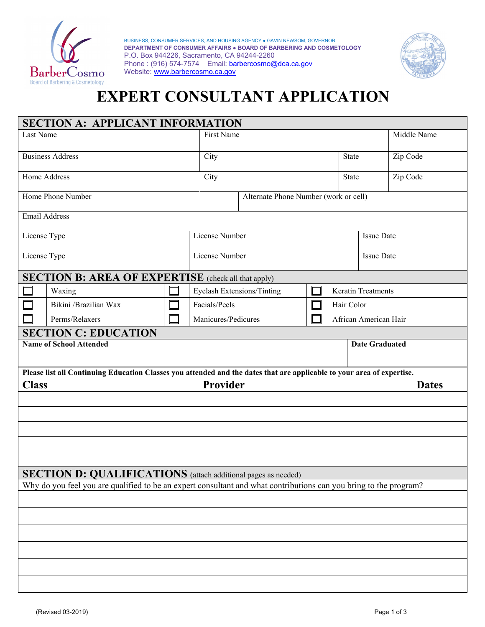

 BUSINESS, CONSUMER SERVICES, AND HOUSING AGENCY ● GAVIN NEWSOM, GOVERNOR  **DEPARTMENT OF CONSUMER AFFAIRS ● BOARD OF BARBERING AND COSMETOLOGY**  P.O. Box 944226, Sacramento, CA 94244-2260 Phone : (916) 574-7574 Email: barbercosmo@dca.ca.gov Website: www.barbercosmo.ca.gov



# **EXPERT CONSULTANT APPLICATION**

| <b>SECTION A: APPLICANT INFORMATION</b>                                                                           |                             |  |  |                                                                                                                                                 |  |  |              |                           |              |  |
|-------------------------------------------------------------------------------------------------------------------|-----------------------------|--|--|-------------------------------------------------------------------------------------------------------------------------------------------------|--|--|--------------|---------------------------|--------------|--|
| Last Name                                                                                                         |                             |  |  | First Name                                                                                                                                      |  |  |              |                           | Middle Name  |  |
| <b>Business Address</b>                                                                                           |                             |  |  | City<br><b>State</b>                                                                                                                            |  |  |              |                           | Zip Code     |  |
| Home Address                                                                                                      |                             |  |  | City                                                                                                                                            |  |  | <b>State</b> |                           | Zip Code     |  |
| Home Phone Number                                                                                                 |                             |  |  | Alternate Phone Number (work or cell)                                                                                                           |  |  |              |                           |              |  |
| <b>Email Address</b>                                                                                              |                             |  |  |                                                                                                                                                 |  |  |              |                           |              |  |
| License Type                                                                                                      |                             |  |  | License Number                                                                                                                                  |  |  |              | <b>Issue Date</b>         |              |  |
| License Type                                                                                                      |                             |  |  | License Number                                                                                                                                  |  |  |              | <b>Issue Date</b>         |              |  |
| <b>SECTION B: AREA OF EXPERTISE</b> (check all that apply)                                                        |                             |  |  |                                                                                                                                                 |  |  |              |                           |              |  |
|                                                                                                                   | Waxing                      |  |  | <b>Eyelash Extensions/Tinting</b>                                                                                                               |  |  |              | <b>Keratin Treatments</b> |              |  |
|                                                                                                                   | Bikini /Brazilian Wax       |  |  | Facials/Peels                                                                                                                                   |  |  |              | Hair Color                |              |  |
|                                                                                                                   | Perms/Relaxers              |  |  | Manicures/Pedicures                                                                                                                             |  |  |              | African American Hair     |              |  |
|                                                                                                                   | <b>SECTION C: EDUCATION</b> |  |  |                                                                                                                                                 |  |  |              |                           |              |  |
| <b>Name of School Attended</b>                                                                                    |                             |  |  | <b>Date Graduated</b><br>Please list all Continuing Education Classes you attended and the dates that are applicable to your area of expertise. |  |  |              |                           |              |  |
| <b>Class</b>                                                                                                      |                             |  |  | Provider                                                                                                                                        |  |  |              |                           | <b>Dates</b> |  |
|                                                                                                                   |                             |  |  |                                                                                                                                                 |  |  |              |                           |              |  |
|                                                                                                                   |                             |  |  |                                                                                                                                                 |  |  |              |                           |              |  |
|                                                                                                                   |                             |  |  |                                                                                                                                                 |  |  |              |                           |              |  |
|                                                                                                                   |                             |  |  |                                                                                                                                                 |  |  |              |                           |              |  |
|                                                                                                                   |                             |  |  |                                                                                                                                                 |  |  |              |                           |              |  |
| <b>SECTION D: QUALIFICATIONS</b> (attach additional pages as needed)                                              |                             |  |  |                                                                                                                                                 |  |  |              |                           |              |  |
| Why do you feel you are qualified to be an expert consultant and what contributions can you bring to the program? |                             |  |  |                                                                                                                                                 |  |  |              |                           |              |  |
|                                                                                                                   |                             |  |  |                                                                                                                                                 |  |  |              |                           |              |  |
|                                                                                                                   |                             |  |  |                                                                                                                                                 |  |  |              |                           |              |  |
|                                                                                                                   |                             |  |  |                                                                                                                                                 |  |  |              |                           |              |  |
|                                                                                                                   |                             |  |  |                                                                                                                                                 |  |  |              |                           |              |  |
|                                                                                                                   |                             |  |  |                                                                                                                                                 |  |  |              |                           |              |  |
|                                                                                                                   |                             |  |  |                                                                                                                                                 |  |  |              |                           |              |  |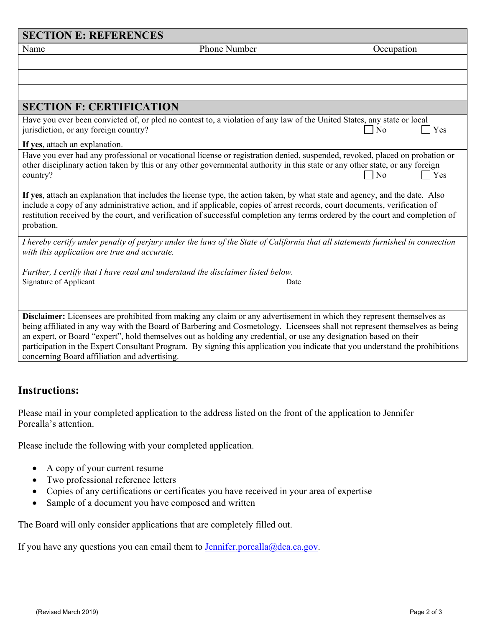| <b>SECTION E: REFERENCES</b>                                                                                                                                                                                                                                                                                                                                                                              |                       |  |  |  |  |  |  |  |
|-----------------------------------------------------------------------------------------------------------------------------------------------------------------------------------------------------------------------------------------------------------------------------------------------------------------------------------------------------------------------------------------------------------|-----------------------|--|--|--|--|--|--|--|
| Phone Number<br>Name                                                                                                                                                                                                                                                                                                                                                                                      | Occupation            |  |  |  |  |  |  |  |
|                                                                                                                                                                                                                                                                                                                                                                                                           |                       |  |  |  |  |  |  |  |
|                                                                                                                                                                                                                                                                                                                                                                                                           |                       |  |  |  |  |  |  |  |
|                                                                                                                                                                                                                                                                                                                                                                                                           |                       |  |  |  |  |  |  |  |
| <b>SECTION F: CERTIFICATION</b>                                                                                                                                                                                                                                                                                                                                                                           |                       |  |  |  |  |  |  |  |
| Have you ever been convicted of, or pled no contest to, a violation of any law of the United States, any state or local<br>jurisdiction, or any foreign country?                                                                                                                                                                                                                                          | N <sub>o</sub><br>Yes |  |  |  |  |  |  |  |
| If yes, attach an explanation.                                                                                                                                                                                                                                                                                                                                                                            |                       |  |  |  |  |  |  |  |
| Have you ever had any professional or vocational license or registration denied, suspended, revoked, placed on probation or<br>other disciplinary action taken by this or any other governmental authority in this state or any other state, or any foreign<br>$\n  1$ No<br>$\blacksquare$ Yes<br>country?                                                                                               |                       |  |  |  |  |  |  |  |
| If yes, attach an explanation that includes the license type, the action taken, by what state and agency, and the date. Also<br>include a copy of any administrative action, and if applicable, copies of arrest records, court documents, verification of<br>restitution received by the court, and verification of successful completion any terms ordered by the court and completion of<br>probation. |                       |  |  |  |  |  |  |  |
| I hereby certify under penalty of perjury under the laws of the State of California that all statements furnished in connection<br>with this application are true and accurate.                                                                                                                                                                                                                           |                       |  |  |  |  |  |  |  |
| Further, I certify that I have read and understand the disclaimer listed below.                                                                                                                                                                                                                                                                                                                           |                       |  |  |  |  |  |  |  |
| Signature of Applicant                                                                                                                                                                                                                                                                                                                                                                                    | Date                  |  |  |  |  |  |  |  |
| Disclaimer: Licensees are prohibited from making any claim or any advertisement in which they represent themselves as                                                                                                                                                                                                                                                                                     |                       |  |  |  |  |  |  |  |
| being affiliated in any way with the Board of Barbering and Cosmetology. Licensees shall not represent themselves as being                                                                                                                                                                                                                                                                                |                       |  |  |  |  |  |  |  |
| an expert, or Board "expert", hold themselves out as holding any credential, or use any designation based on their                                                                                                                                                                                                                                                                                        |                       |  |  |  |  |  |  |  |
| participation in the Expert Consultant Program. By signing this application you indicate that you understand the prohibitions                                                                                                                                                                                                                                                                             |                       |  |  |  |  |  |  |  |
| concerning Board affiliation and advertising.                                                                                                                                                                                                                                                                                                                                                             |                       |  |  |  |  |  |  |  |

# **Instructions:**

Please mail in your completed application to the address listed on the front of the application to Jennifer Porcalla's attention.

Please include the following with your completed application.

- A copy of your current resume
- Two professional reference letters
- Copies of any certifications or certificates you have received in your area of expertise
- Sample of a document you have composed and written

The Board will only consider applications that are completely filled out.

If you have any questions you can email them to **Jennifer** porcalla@dca.ca.gov.